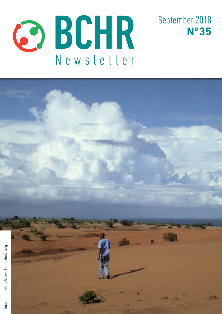



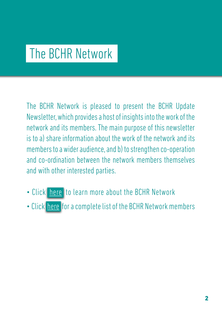# The BCHR Network

The BCHR Network is pleased to present the BCHR Update Newsletter, which provides a host of insights into the work of the network and its members. The main purpose of this newsletter is to a) share information about the work of the network and its members to a wider audience, and b) to strengthen co-operation and co-ordination between the network members themselves and with other interested parties.

- Click [here](http://www.networkbchr.org/) to learn more about the BCHR Network
- Click [here](http://www.networkbchr.org/#!join-the-network/c24vq) for a complete list of the BCHR Network members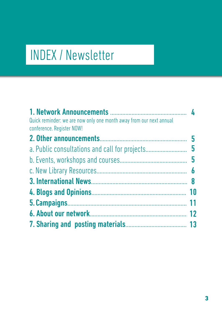# INDEX / Newsletter

| Quick reminder: we are now only one month away from our next annual |  |
|---------------------------------------------------------------------|--|
| conference. Register NOW!                                           |  |
|                                                                     |  |
| a. Public consultations and call for projects 5                     |  |
|                                                                     |  |
|                                                                     |  |
|                                                                     |  |
|                                                                     |  |
|                                                                     |  |
|                                                                     |  |
|                                                                     |  |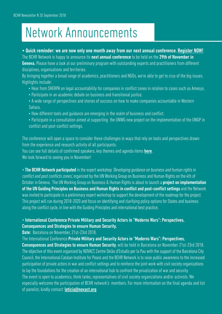# Network Announcements

#### • Quick reminder: we are now only one month away from our next annual conference. [Register NOW!](https://www.networkbchr.org/annual-meeting) The BCHR Network is happy to announce its next annual conference to be held on the 29th of November in

**Geneva.** Please have a look at our preliminary program with outstanding experts and practitioners from different disciplines, organisations and territories.

By bringing together a broad range of academics, practitioners and NGOs, we're able to get to crux of the big issues. Highlights include:

- Hear from SHERPA on legal accountability for companies in conflict zones in relation to cases such as Amesys.
- Participate in an academic debate on business and transitional justice.
- A wide range of perspectives and stories of success on how to make companies accountable in Western Sahara.
- How different tools and guidance are emerging in the realm of business and conflict.
- Participate in a consultation aimed at supporting the UNWG new project on the implementation of the UNGP in conflict and post-conflict settings.

The conference will open a space to consider these challenges in ways that rely on tools and perspectives drawn from the experience and research activity of all participants.

You can see full details of confirmed speakers, key themes and agenda items [here](https://docs.wixstatic.com/ugd/e6086f_d675a67760c34949885591fe025099c3.pdf).

We look forward to seeing you in November!

• The BCHR Network participated in the expert workshop 'Developing quidance on business and human rights in conflict and post conflicts zones', organized by the UN Working Group on Business and Human Rights on the 4th of October in Geneva. The UN Working Group on Business & Human Rights is about to launch a **project on implementation** of the UN Guiding Principles on Business and Human Rights in conflict and post-conflict settings and the Network was invited to participate in a preliminary expert workshop to support the development of the roadmap for the project. This project will run during 2018-2020 and focus on identifying and clarifying policy options for States and business along the conflict cycle, in line with the Guiding Principles and international best practice.

#### • International Conference Private Military and Security Actors in "Moderns Wars": Perspectives, Consequences and Strategies to ensure Human Security,

Date: Barcelona on November, 21st-23rd 2018.

The International Conference Private Military and Security Actors in "Moderns Wars": Perspectives,

Consequences and Strategies to ensure Human Security, will be held in Barcelona on November 21st-23rd 2018. The objective of this event organized by NOVACT, Centre Delàs d'Estudis per la Pau with the support of the Barcelona City Council, the International Catalan Institute for Peace and the BCHR Network is to raise public awareness to the increased participation of private actors in war and conflict settings and to reinforce the joint work with civil society organizations to lay the foundations for the creation of an international hub to confront the privatization of war and security. The event is open to academics, think tanks, representatives of civil society organizations and/or activists. We especially welcome the participation of BCHR network's members. For more information on the final agenda and list of panelist, kindly contact: **[leticia@novact.org](mailto:leticia%40novact.org?subject=)**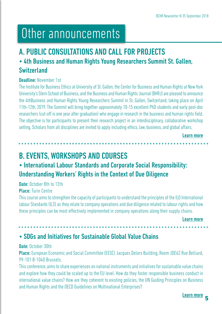# Other announcements

## A. PUBLIC CONSULTATIONS AND CALL FOR PROJECTS

## • 4th Business and Human Rights Young Researchers Summit St. Gallen, Switzerland

#### Deadline: November 1st

The Institute for Business Ethics at University of St. Gallen, the Center for Business and Human Rights at New York University's Stern School of Business, and the Business and Human Rights Journal (BHRJ) are pleased to announce the 4thBusiness and Human Rights Young Researchers Summit in St. Gallen, Switzerland, taking place on April 11th-12th, 2019. The Summit will bring together approximately 10-15 excellent PhD students and early post-doc researchers (cut-off is one year after graduation) who engage in research in the business and human rights field. The objective is for participants to present their research project in an interdisciplinary, collaborative workshop setting. Scholars from all disciplines are invited to apply including ethics, law, business, and global affairs.

[Learn more](https://tinyurl.com/y8ozo4uf)

## B. EVENTS, WORKSHOPS AND COURSES

## • International Labour Standards and Corporate Social Responsibility: Understanding Workers' Rights in the Context of Due Diligence

Date: October 8th to 12th

### Place: Turin Centre

This course aims to strengthen the capacity of participants to understand the principles of the ILO International labour Standards (ILS) as they relate to company operations and due diligence related to labour rights and how these principles can be most effectively implemented in company operations along their supply chains.

**\*\*\*\*\*\*\*\*\*\*\*\*** 

[Learn more](https://tinyurl.com/y7n2l23l )

## • SDGs and Initiatives for Sustainable Global Value Chains

#### Date: October 30th

Place: European Economic and Social Committee (EESC) Jacques Delors Building, Room JDE62 Rue Belliard, 99-101 B-1040 Brussels.

This conference, aims to share experiences on national instruments and initiatives for sustainable value chains and explore how they could be scaled up to the EU level. How do they foster responsible business conduct in international value chains? How are they coherent to existing policies, the UN Guiding Principles on Business and Human Rights and the OECD Guidelines on Multinational Enterprises?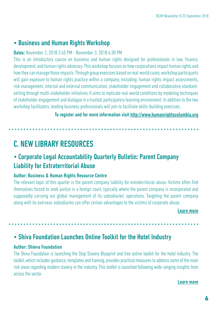### • Business and Human Rights Workshop

#### Dates: November 2, 2018 2:45 PM - November 3, 2018 4:30 PM

This is an introductory course on business and human rights designed for professionals in law, finance, development, and human rights advocacy. This workshop focuses on how corporations impact human rights and how they can manage those impacts. Through group exercises based on real-world cases, workshop participants will gain exposure to human rights practice within a company, including: human rights impact assessments, risk management, internal and external communication, stakeholder engagement and collaborative standardsetting through multi-stakeholder initiatives. It aims to replicate real-world conditions by modeling techniques of stakeholder engagement and dialogue in a trusted, participatory learning environment. In addition to the two workshop facilitators, leading business professionals will join to facilitate skills-building exercises.

To register and for more information visit [http://www.humanrightscolumbia.org](http://www.humanrightscolumbia.org/events/business-and-human-rights-workshop)

## C. NEW LIBRARY RESOURCES

### • Corporate Legal Accountability Quarterly Bulletin: Parent Company Liability for Extraterritorial Abuse

#### Author: Business & Human Rights Resource Centre

The relevant topic of this quarter is the parent company liability for extraterritorial abuse. Victims often find themselves forced to seek justice in a foreign court, typically where the parent company is incorporated and supposedly carrying out global management of its subsidiaries' operations. Targeting the parent company along with its overseas subsidiaries can offer certain advantages to the victims of corporate abuse.

#### [Learn more](https://tinyurl.com/y9rkrn8p )

### • Shiva Foundation Launches Online Toolkit for the Hotel Industry

#### Author: Shieva Foundation

The Shiva Foundation is launching the Stop Slavery Blueprint and free online toolkit for the hotel industry. The toolkit, which includes guidance, templates and training, provides practical measures to address some of the main risk areas regarding modern slavery in the industry. This toolkit is launched following wide-ranging insights from across the sector.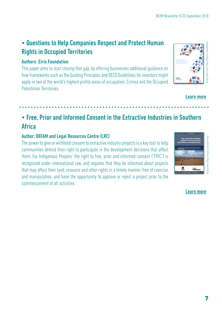## • Questions to Help Companies Respect and Protect Human Rights in Occupied Territories

### Authors: Eiris Foundation

This paper aims to start closing that gap, by offering businesses additional guidance on how frameworks such as the Guiding Principles and OECD Guidelines for investors might apply in two of the world's highest profile areas of occupation: Crimea and the Occupied Palestinian Territories.



#### [Learn more](https://tinyurl.com/yd8t9rps )

## • Free, Prior and Informed Consent in the Extractive Industries in Southern Africa

### Author: OXFAM and Legal Resources Centre (LRC)

The power to give or withhold consent to extractive industry projects is a key tool to help communities defend their right to participate in the development decisions that affect them. For Indigenous Peoples' the right to free, prior and informed consent ("FPIC") is recognized under international law, and requires that they be informed about projects that may affect their land, resource and other rights in a timely manner, free of coercion and manipulation, and have the opportunity to approve or reject a project prior to the commencement of all activities

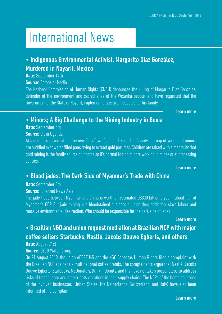# International News

## • Indigenous Environmental Activist, Margarito Díaz González, Murdered in Nayarit, Mexico

Date: September 14th

Source: Somos el Medio

The National Commission of Human Rights (CNDH) denounces the killing of Margarito Díaz González, defender of the environment and sacred sites of the Wixárika people, and have requested that the Government of the State of Nayarit, implement protective measures for his family.

[Learn more](https://tinyurl.com/y786cqjt)

## • Minors; A Big Challenge to the Mining Industry in Busia

Date: September 5th

### Source: Oil in Uganda

At a gold processing site in the new Tiira Town Council, Sikuda Sub County, a group of youth and minors are huddled over water filled pans trying to extract gold particles. Children are raised with a mentality that gold mining is the family source of income so it's normal to find minors working in mines or at processing centres.

[Learn more](https://tinyurl.com/y8x8hwzo )

## • Blood jades: The Dark Side of Myanmar's Trade with China

Date: September 8th

### Source: Channel News Asia

The jade trade between Myanmar and China is worth an estimated US\$30 billion a year - about half of Myanmar's GDP. But jade mining is a bloodstained business built on drug addiction, slave labour and massive environmental destruction. Who should be responsible for the dark side of jade?

[Learn more](https://tinyurl.com/yb9opty8 )

## • Brazilian NGO and union request mediation at Brazilian NCP with major coffee sellers Starbucks, Nestlé, Jacobs Douwe Egberts, and others

## Date: August 21st

### Source: OECD Watch Group

On 21 August 2018, the union ADERE MG and the NGO Conectas Human Rights filed a complaint with the Brazilian NCP against six multinational coffee brands. The complainants argue that Nestlé, Jacobs Douwe Egberts, Starbucks, McDonald's, Dunkin Donuts, and Illy have not taken proper steps to address risks of forced labor and other rights violations in their supply chains. The NCPs of the home countries of the involved businesses (United States, the Netherlands, Switzerland, and Italy) have also been informed of the complaint.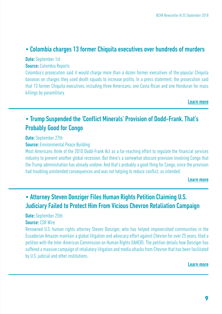### • Colombia charges 13 former Chiquita executives over hundreds of murders

Date: September 1st Source: Colombia Reports

Colombia's prosecution said it would charge more than a dozen former executives of the popular Chiquita bananas on charges they used death squads to increase profits. In a press statement, the prosecution said that 13 former Chiquita executives, including three Americans, one Costa Rican and one Honduran for mass killings by paramilitary.

[Learn more](https://tinyurl.com/y8lywfp5 )

## • Trump Suspended the 'Conflict Minerals' Provision of Dodd-Frank. That's Probably Good for Congo

#### Date: September 27th

**Source:** Environmental Peace Building

Most Americans think of the 2010 Dodd-Frank Act as a far-reaching effort to regulate the financial services industry to prevent another global recession. But there's a somewhat obscure provision involving Congo that the Trump administration has already undone. And that's probably a good thing for Congo, since the provision had troubling unintended consequences and was not helping to reduce conflict, as intended.

[Learn more](https://tinyurl.com/y9j7c7j2 )

## • Attorney Steven Donziger Files Human Rights Petition Claiming U.S. Judiciary Failed to Protect Him From Vicious Chevron Retaliation Campaign

Date: September 25th

#### **Source: CSR Wire**

Renowned U.S. human rights attorney Steven Donziger, who has helped impoverished communities in the Ecuadorian Amazon maintain a global litigation and advocacy effort against Chevron for over 25 years, filed a petition with the Inter-American Commission on Human Rights (IAHCR). The petition details how Donziger has suffered a massive campaign of retaliatory litigation and media attacks from Chevron that has been facilitated by U.S. judicial and other institutions.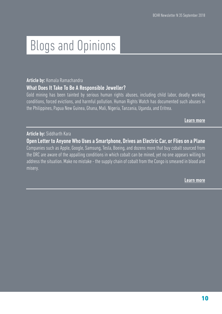# Blogs and Opinions

#### Article by: Komala Ramachandra

#### What Does It Take To Be A Responsible Jeweller?

Gold mining has been tainted by serious human rights abuses, including child labor, deadly working conditions, forced evictions, and harmful pollution. Human Rights Watch has documented such abuses in the Philippines, Papua New Guinea, Ghana, Mali, Nigeria, Tanzania, Uganda, and Eritrea.

[Learn more](https://tinyurl.com/y83a9fm8 )

#### Article by: Siddharth Kara

Open Letter to Anyone Who Uses a Smartphone, Drives an Electric Car, or Flies on a Plane Companies such as Apple, Google, Samsung, Tesla, Boeing, and dozens more that buy cobalt sourced from the DRC are aware of the appalling conditions in which cobalt can be mined, yet no one appears willing to address the situation. Make no mistake - the supply chain of cobalt from the Congo is smeared in blood and misery.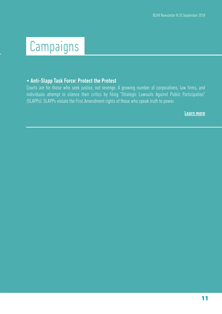# Campaigns

#### • Anti-Slapp Task Force: Protect the Protest

Courts are for those who seek justice, not revenge. A growing number of corporations, law firms, and individuals attempt to silence their critics by filing "Strategic Lawsuits Against Public Participation" (SLAPPs). SLAPPs violate the First Amendment rights of those who speak truth to power.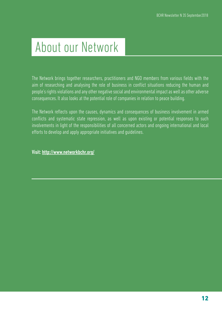# About our Network

The Network brings together researchers, practitioners and NGO members from various fields with the aim of researching and analysing the role of business in conflict situations reducing the human and people's rights violations and any other negative social and environmental impact as well as other adverse consequences. It also looks at the potential role of companies in relation to peace building.

The Network reflects upon the causes, dynamics and consequences of business involvement in armed conflicts and systematic state repression, as well as upon existing or potential responses to such involvements in light of the responsibilities of all concerned actors and ongoing international and local efforts to develop and apply appropriate initiatives and guidelines.

Visit: <http://www.networkbchr.org/>